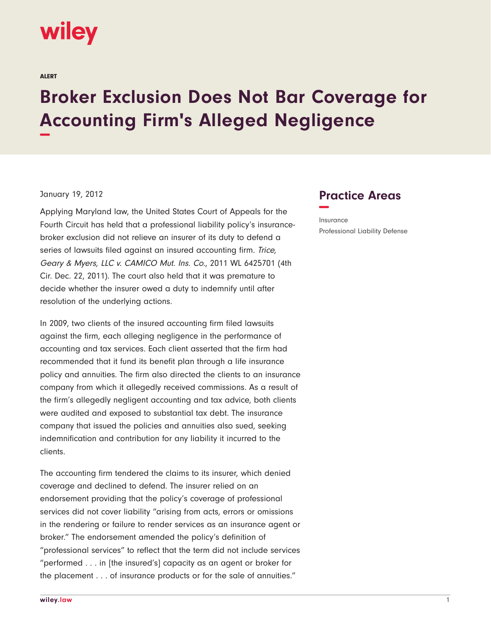## wiley

ALERT

## **Broker Exclusion Does Not Bar Coverage for Accounting Firm's Alleged Negligence −**

## January 19, 2012

Applying Maryland law, the United States Court of Appeals for the Fourth Circuit has held that a professional liability policy's insurancebroker exclusion did not relieve an insurer of its duty to defend a series of lawsuits filed against an insured accounting firm. Trice, Geary & Myers, LLC v. CAMICO Mut. Ins. Co., 2011 WL 6425701 (4th Cir. Dec. 22, 2011). The court also held that it was premature to decide whether the insurer owed a duty to indemnify until after resolution of the underlying actions.

In 2009, two clients of the insured accounting firm filed lawsuits against the firm, each alleging negligence in the performance of accounting and tax services. Each client asserted that the firm had recommended that it fund its benefit plan through a life insurance policy and annuities. The firm also directed the clients to an insurance company from which it allegedly received commissions. As a result of the firm's allegedly negligent accounting and tax advice, both clients were audited and exposed to substantial tax debt. The insurance company that issued the policies and annuities also sued, seeking indemnification and contribution for any liability it incurred to the clients.

The accounting firm tendered the claims to its insurer, which denied coverage and declined to defend. The insurer relied on an endorsement providing that the policy's coverage of professional services did not cover liability "arising from acts, errors or omissions in the rendering or failure to render services as an insurance agent or broker." The endorsement amended the policy's definition of "professional services" to reflect that the term did not include services "performed . . . in [the insured's] capacity as an agent or broker for the placement . . . of insurance products or for the sale of annuities."

## **Practice Areas −**

Insurance Professional Liability Defense